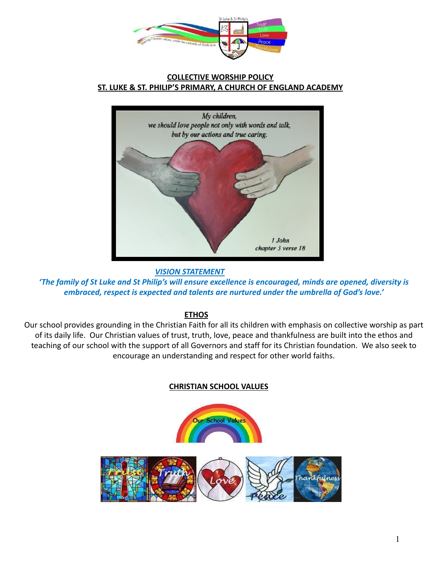

### **COLLECTIVE WORSHIP POLICY ST. LUKE & ST. PHILIP'S PRIMARY, A CHURCH OF ENGLAND ACADEMY**



*VISION STATEMENT*

*'The family of St Luke and St Philip's will ensure excellence is encouraged, minds are opened, diversity is embraced, respect is expected and talents are nurtured under the umbrella of God's love.'*

### **ETHOS**

Our school provides grounding in the Christian Faith for all its children with emphasis on collective worship as part of its daily life. Our Christian values of trust, truth, love, peace and thankfulness are built into the ethos and teaching of our school with the support of all Governors and staff for its Christian foundation. We also seek to encourage an understanding and respect for other world faiths.

### **CHRISTIAN SCHOOL VALUES**

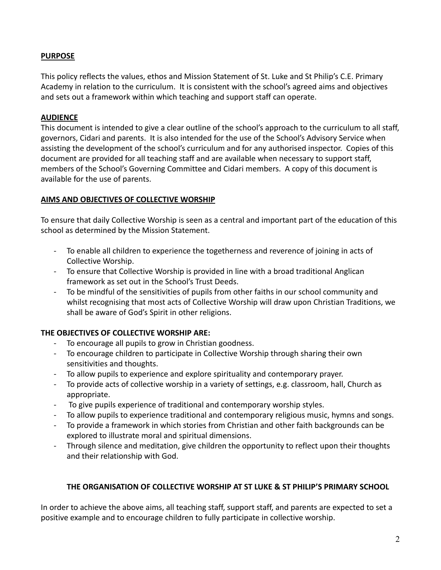### **PURPOSE**

This policy reflects the values, ethos and Mission Statement of St. Luke and St Philip's C.E. Primary Academy in relation to the curriculum. It is consistent with the school's agreed aims and objectives and sets out a framework within which teaching and support staff can operate.

#### **AUDIENCE**

This document is intended to give a clear outline of the school's approach to the curriculum to all staff, governors, Cidari and parents. It is also intended for the use of the School's Advisory Service when assisting the development of the school's curriculum and for any authorised inspector. Copies of this document are provided for all teaching staff and are available when necessary to support staff, members of the School's Governing Committee and Cidari members. A copy of this document is available for the use of parents.

### **AIMS AND OBJECTIVES OF COLLECTIVE WORSHIP**

To ensure that daily Collective Worship is seen as a central and important part of the education of this school as determined by the Mission Statement.

- To enable all children to experience the togetherness and reverence of joining in acts of Collective Worship.
- To ensure that Collective Worship is provided in line with a broad traditional Anglican framework as set out in the School's Trust Deeds.
- To be mindful of the sensitivities of pupils from other faiths in our school community and whilst recognising that most acts of Collective Worship will draw upon Christian Traditions, we shall be aware of God's Spirit in other religions.

### **THE OBJECTIVES OF COLLECTIVE WORSHIP ARE:**

- To encourage all pupils to grow in Christian goodness.
- To encourage children to participate in Collective Worship through sharing their own sensitivities and thoughts.
- To allow pupils to experience and explore spirituality and contemporary prayer.
- To provide acts of collective worship in a variety of settings, e.g. classroom, hall, Church as appropriate.
- To give pupils experience of traditional and contemporary worship styles.
- To allow pupils to experience traditional and contemporary religious music, hymns and songs.
- To provide a framework in which stories from Christian and other faith backgrounds can be explored to illustrate moral and spiritual dimensions.
- Through silence and meditation, give children the opportunity to reflect upon their thoughts and their relationship with God.

### **THE ORGANISATION OF COLLECTIVE WORSHIP AT ST LUKE & ST PHILIP'S PRIMARY SCHOOL**

In order to achieve the above aims, all teaching staff, support staff, and parents are expected to set a positive example and to encourage children to fully participate in collective worship.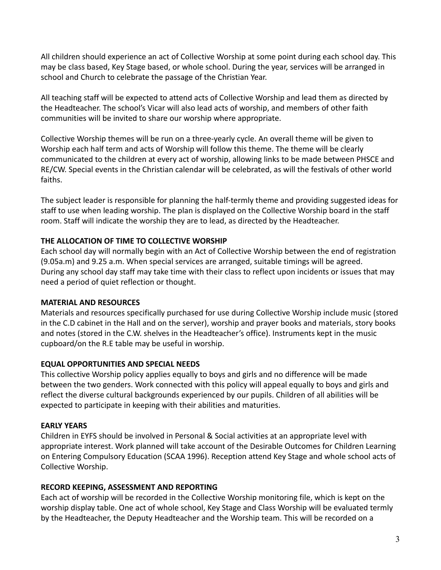All children should experience an act of Collective Worship at some point during each school day. This may be class based, Key Stage based, or whole school. During the year, services will be arranged in school and Church to celebrate the passage of the Christian Year.

All teaching staff will be expected to attend acts of Collective Worship and lead them as directed by the Headteacher. The school's Vicar will also lead acts of worship, and members of other faith communities will be invited to share our worship where appropriate.

Collective Worship themes will be run on a three-yearly cycle. An overall theme will be given to Worship each half term and acts of Worship will follow this theme. The theme will be clearly communicated to the children at every act of worship, allowing links to be made between PHSCE and RE/CW. Special events in the Christian calendar will be celebrated, as will the festivals of other world faiths.

The subject leader is responsible for planning the half-termly theme and providing suggested ideas for staff to use when leading worship. The plan is displayed on the Collective Worship board in the staff room. Staff will indicate the worship they are to lead, as directed by the Headteacher.

### **THE ALLOCATION OF TIME TO COLLECTIVE WORSHIP**

Each school day will normally begin with an Act of Collective Worship between the end of registration (9.05a.m) and 9.25 a.m. When special services are arranged, suitable timings will be agreed. During any school day staff may take time with their class to reflect upon incidents or issues that may need a period of quiet reflection or thought.

### **MATERIAL AND RESOURCES**

Materials and resources specifically purchased for use during Collective Worship include music (stored in the C.D cabinet in the Hall and on the server), worship and prayer books and materials, story books and notes (stored in the C.W. shelves in the Headteacher's office). Instruments kept in the music cupboard/on the R.E table may be useful in worship.

# **EQUAL OPPORTUNITIES AND SPECIAL NEEDS**

This collective Worship policy applies equally to boys and girls and no difference will be made between the two genders. Work connected with this policy will appeal equally to boys and girls and reflect the diverse cultural backgrounds experienced by our pupils. Children of all abilities will be expected to participate in keeping with their abilities and maturities.

# **EARLY YEARS**

Children in EYFS should be involved in Personal & Social activities at an appropriate level with appropriate interest. Work planned will take account of the Desirable Outcomes for Children Learning on Entering Compulsory Education (SCAA 1996). Reception attend Key Stage and whole school acts of Collective Worship.

# **RECORD KEEPING, ASSESSMENT AND REPORTING**

Each act of worship will be recorded in the Collective Worship monitoring file, which is kept on the worship display table. One act of whole school, Key Stage and Class Worship will be evaluated termly by the Headteacher, the Deputy Headteacher and the Worship team. This will be recorded on a